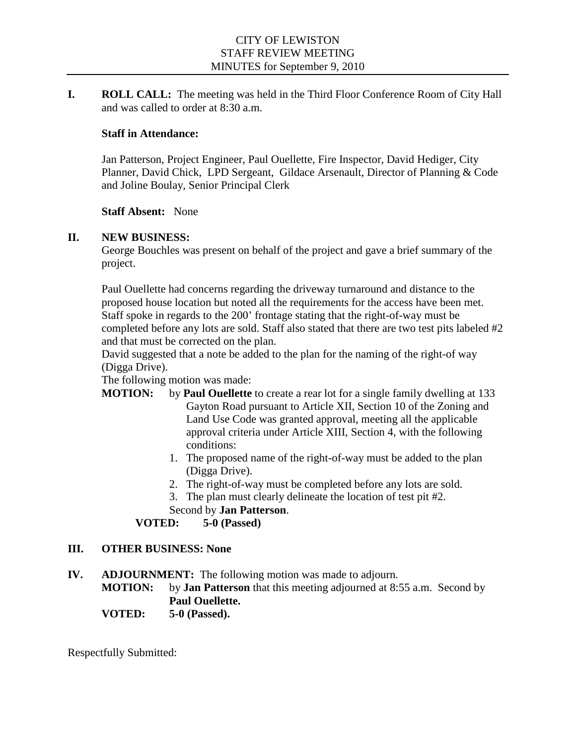**I. ROLL CALL:** The meeting was held in the Third Floor Conference Room of City Hall and was called to order at 8:30 a.m.

## **Staff in Attendance:**

Jan Patterson, Project Engineer, Paul Ouellette, Fire Inspector, David Hediger, City Planner, David Chick, LPD Sergeant, Gildace Arsenault, Director of Planning & Code and Joline Boulay, Senior Principal Clerk

### **Staff Absent:** None

### **II. NEW BUSINESS:**

George Bouchles was present on behalf of the project and gave a brief summary of the project.

Paul Ouellette had concerns regarding the driveway turnaround and distance to the proposed house location but noted all the requirements for the access have been met. Staff spoke in regards to the 200' frontage stating that the right-of-way must be completed before any lots are sold. Staff also stated that there are two test pits labeled #2 and that must be corrected on the plan.

David suggested that a note be added to the plan for the naming of the right-of way (Digga Drive).

The following motion was made:

- **MOTION:** by **Paul Ouellette** to create a rear lot for a single family dwelling at 133 Gayton Road pursuant to Article XII, Section 10 of the Zoning and Land Use Code was granted approval, meeting all the applicable approval criteria under Article XIII, Section 4, with the following conditions:
	- 1. The proposed name of the right-of-way must be added to the plan (Digga Drive).
	- 2. The right-of-way must be completed before any lots are sold.
	- 3. The plan must clearly delineate the location of test pit #2.
	- Second by **Jan Patterson**.

# **VOTED: 5-0 (Passed)**

### **III. OTHER BUSINESS: None**

- **IV. ADJOURNMENT:** The following motion was made to adjourn.
	- **MOTION:** by **Jan Patterson** that this meeting adjourned at 8:55 a.m. Second by **Paul Ouellette.**
	- **VOTED: 5-0 (Passed).**

Respectfully Submitted: